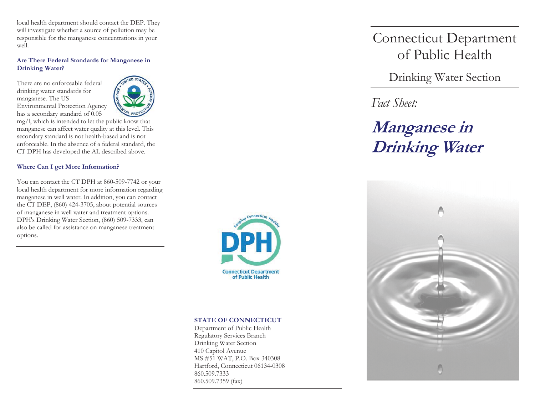local health department should contact the DEP. They will investigate whether a source of pollution may be responsible for the manganese concentrations in your well.

## **Are There Federal Standards for Manganese in Drinking Water?**

There are no enforceable federal drinking water standards for manganese. The US Environmental Protection Agency has a secondary standard of 0.05



mg/l, which is intended to let the public know that manganese can affect water quality at this level. This secondary standard is not health-based and is not enforceable. In the absence of a federal standard, the CT DPH has developed the AL described above.

# **Where Can I get More Information?**

You can contact the CT DPH at 860-509-7742 or your local health department for more information regarding manganese in well water. In addition, you can contact the CT DEP, (860) 424-3705, about potential sources of manganese in well water and treatment options. DPH's Drinking Water Section, (860) 509-7333, can also be called for assistance on manganese treatment options.



### **STATE OF CONNECTICUT**

Department of Public Health Regulatory Services Branch Drinking Water Section 410 Capitol Avenue MS #51 WAT, P.O. Box 340308 Hartford, Connecticut 06134-0308 860.509.7333 860.509.7359 (fax)

Connecticut Department of Public Health

Drinking Water Section

*Fact Sheet:* 

**Manganese in Drinking Water**